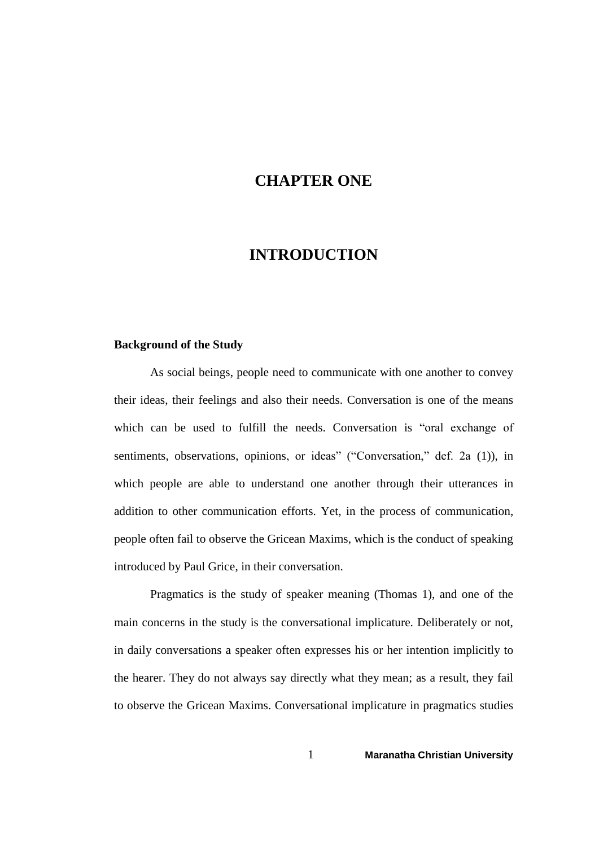## **CHAPTER ONE**

# **INTRODUCTION**

#### **Background of the Study**

As social beings, people need to communicate with one another to convey their ideas, their feelings and also their needs. Conversation is one of the means which can be used to fulfill the needs. Conversation is "oral exchange of sentiments, observations, opinions, or ideas" ("Conversation," def. 2a (1)), in which people are able to understand one another through their utterances in addition to other communication efforts. Yet, in the process of communication, people often fail to observe the Gricean Maxims, which is the conduct of speaking introduced by Paul Grice, in their conversation.

Pragmatics is the study of speaker meaning (Thomas 1), and one of the main concerns in the study is the conversational implicature. Deliberately or not, in daily conversations a speaker often expresses his or her intention implicitly to the hearer. They do not always say directly what they mean; as a result, they fail to observe the Gricean Maxims. Conversational implicature in pragmatics studies

1 **Maranatha Christian University**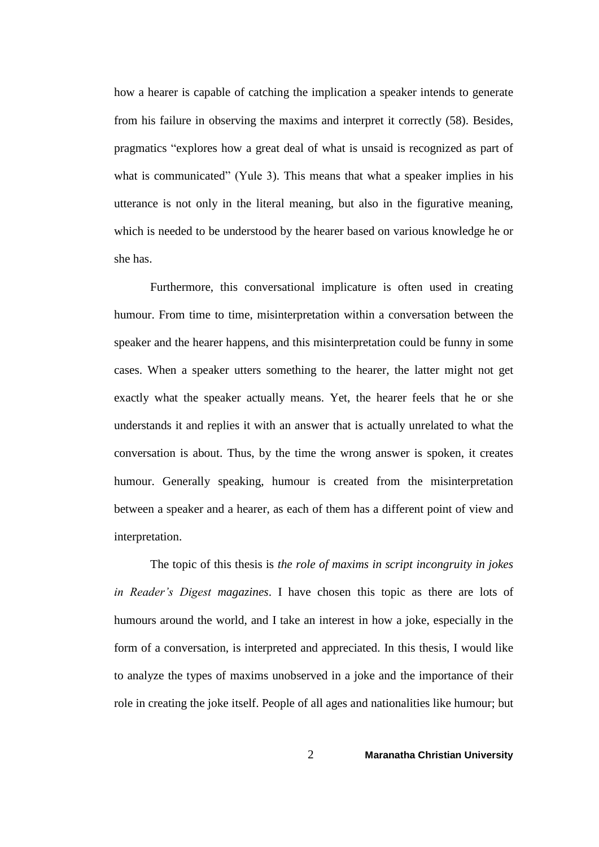how a hearer is capable of catching the implication a speaker intends to generate from his failure in observing the maxims and interpret it correctly (58). Besides, pragmatics "explores how a great deal of what is unsaid is recognized as part of what is communicated" (Yule 3). This means that what a speaker implies in his utterance is not only in the literal meaning, but also in the figurative meaning, which is needed to be understood by the hearer based on various knowledge he or she has.

Furthermore, this conversational implicature is often used in creating humour. From time to time, misinterpretation within a conversation between the speaker and the hearer happens, and this misinterpretation could be funny in some cases. When a speaker utters something to the hearer, the latter might not get exactly what the speaker actually means. Yet, the hearer feels that he or she understands it and replies it with an answer that is actually unrelated to what the conversation is about. Thus, by the time the wrong answer is spoken, it creates humour. Generally speaking, humour is created from the misinterpretation between a speaker and a hearer, as each of them has a different point of view and interpretation.

The topic of this thesis is *the role of maxims in script incongruity in jokes in Reader's Digest magazines*. I have chosen this topic as there are lots of humours around the world, and I take an interest in how a joke, especially in the form of a conversation, is interpreted and appreciated. In this thesis, I would like to analyze the types of maxims unobserved in a joke and the importance of their role in creating the joke itself. People of all ages and nationalities like humour; but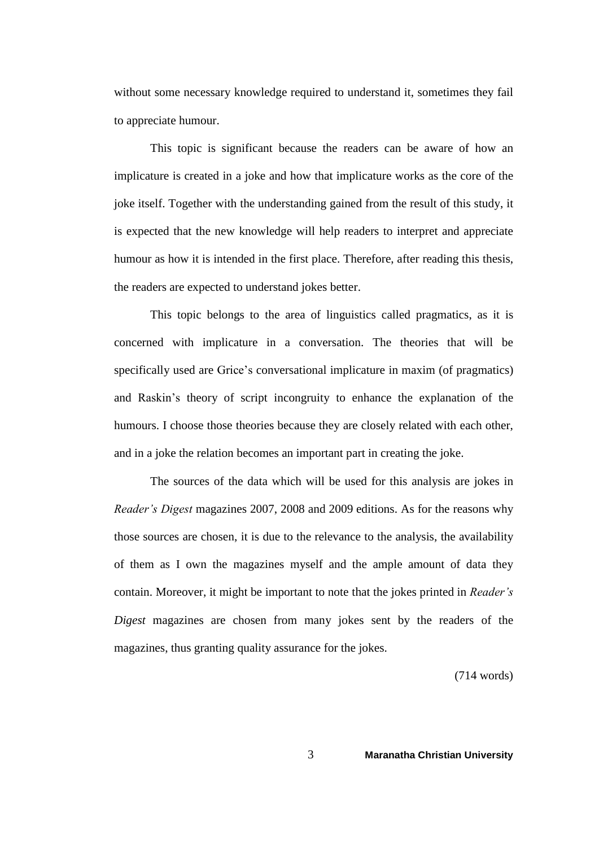without some necessary knowledge required to understand it, sometimes they fail to appreciate humour.

This topic is significant because the readers can be aware of how an implicature is created in a joke and how that implicature works as the core of the joke itself. Together with the understanding gained from the result of this study, it is expected that the new knowledge will help readers to interpret and appreciate humour as how it is intended in the first place. Therefore, after reading this thesis, the readers are expected to understand jokes better.

This topic belongs to the area of linguistics called pragmatics, as it is concerned with implicature in a conversation. The theories that will be specifically used are Grice's conversational implicature in maxim (of pragmatics) and Raskin's theory of script incongruity to enhance the explanation of the humours. I choose those theories because they are closely related with each other, and in a joke the relation becomes an important part in creating the joke.

The sources of the data which will be used for this analysis are jokes in *Reader's Digest* magazines 2007, 2008 and 2009 editions. As for the reasons why those sources are chosen, it is due to the relevance to the analysis, the availability of them as I own the magazines myself and the ample amount of data they contain. Moreover, it might be important to note that the jokes printed in *Reader's Digest* magazines are chosen from many jokes sent by the readers of the magazines, thus granting quality assurance for the jokes.

(714 words)

3 **Maranatha Christian University**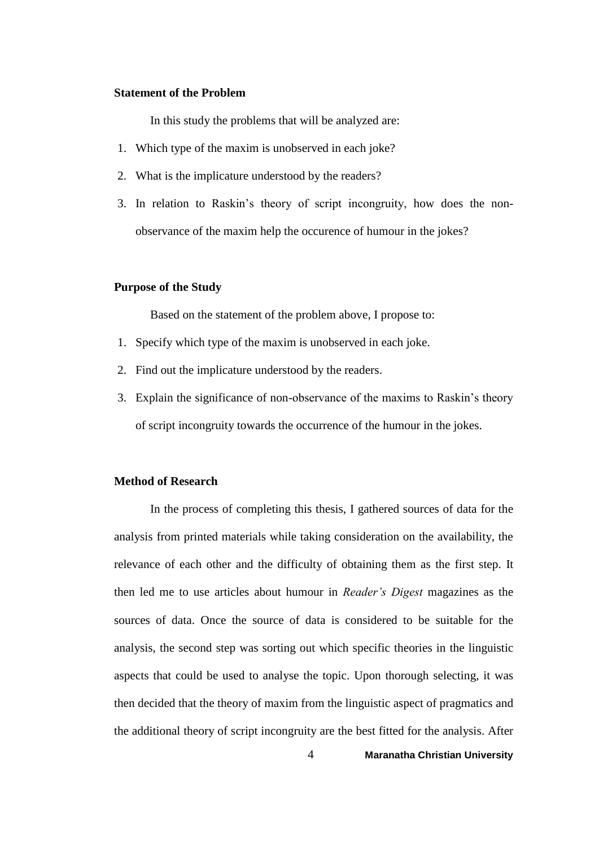#### **Statement of the Problem**

In this study the problems that will be analyzed are:

- 1. Which type of the maxim is unobserved in each joke?
- 2. What is the implicature understood by the readers?
- 3. In relation to Raskin's theory of script incongruity, how does the nonobservance of the maxim help the occurence of humour in the jokes?

#### **Purpose of the Study**

Based on the statement of the problem above, I propose to:

- 1. Specify which type of the maxim is unobserved in each joke.
- 2. Find out the implicature understood by the readers.
- 3. Explain the significance of non-observance of the maxims to Raskin's theory of script incongruity towards the occurrence of the humour in the jokes.

## **Method of Research**

In the process of completing this thesis, I gathered sources of data for the analysis from printed materials while taking consideration on the availability, the relevance of each other and the difficulty of obtaining them as the first step. It then led me to use articles about humour in *Reader's Digest* magazines as the sources of data. Once the source of data is considered to be suitable for the analysis, the second step was sorting out which specific theories in the linguistic aspects that could be used to analyse the topic. Upon thorough selecting, it was then decided that the theory of maxim from the linguistic aspect of pragmatics and the additional theory of script incongruity are the best fitted for the analysis. After